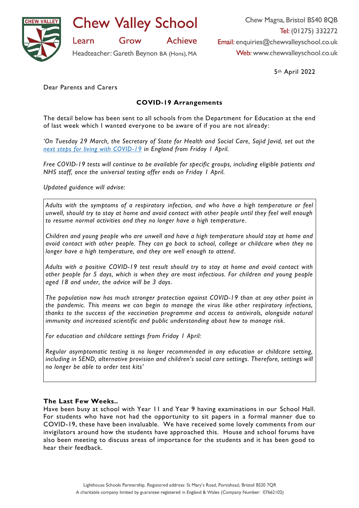

**Chew Valley School** 

**Achieve** Grow

Headteacher: Gareth Beynon BA (Hons), MA

Chew Magna, Bristol BS40 8QB Tel: (01275) 332272 Email: enquiries@chewvalleyschool.co.uk Web: www.chewvalleyschool.co.uk

5th April 2022

Dear Parents and Carers

Learn

# **COVID-19 Arrangements**

The detail below has been sent to all schools from the Department for Education at the end of last week which I wanted everyone to be aware of if you are not already :

*'On Tuesday 29 March, the Secretary of State for Health and Social Care, Sajid Javid, set out the [next steps for living with COVID-19](https://eur01.safelinks.protection.outlook.com/?url=https%3A%2F%2Fwww.gov.uk%2Fgovernment%2Fnews%2Fgovernment-sets-out-next-steps-for-living-with-covid%3Futm_source%3D31%2520March%25202022%2520C19%26utm_medium%3DDaily%2520Email%2520C19%26utm_campaign%3DDfE%2520C19&data=04%7C01%7Cgbeynon%40chewvalleyschool.co.uk%7Cbe01cf75b5e54e85e46308da12fbcce9%7Cd19699aa861749e3afdf44daf0905611%7C0%7C0%7C637843169922648306%7CUnknown%7CTWFpbGZsb3d8eyJWIjoiMC4wLjAwMDAiLCJQIjoiV2luMzIiLCJBTiI6Ik1haWwiLCJXVCI6Mn0%3D%7C3000&sdata=9EtinKn82Em4ir%2BCmhxsy7EkGU8ufZ%2B7YoxXdboefmg%3D&reserved=0) in England from Friday 1 April.*

*Free COVID-19 tests will continue to be available for specific groups, including eligible patients and NHS staff, once the universal testing offer ends on Friday 1 April.*

*Updated guidance will advise:*

*Adults with the symptoms of a respiratory infection, and who have a high temperature or feel unwell, should try to stay at home and avoid contact with other people until they feel well enough to resume normal activities and they no longer have a high temperature .*

*Children and young people who are unwell and have a high temperature should stay at home and avoid contact with other people. They can go back to school, college or childcare when they no longer have a high temperature, and they are well enough to attend .*

*Adults with a positive COVID-19 test result should try to stay at home and avoid contact with other people for 5 days, which is when they are most infectious. For children and young people aged 18 and under, the advice will be 3 days.*

*The population now has much stronger protection against COVID-19 than at any other point in the pandemic. This means we can begin to manage the virus like other respiratory infections, thanks to the success of the vaccination programme and access to antivirals, alongside natural immunity and increased scientific and public understanding about how to manage risk.* 

*For education and childcare settings from Friday 1 April:*

*Regular asymptomatic testing is no longer recommended in any education or childcare setting, including in SEND, alternative provision and children's social care settings. Therefore, settings will no longer be able to order test kits'*

## **The Last Few Weeks..**

Have been busy at school with Year 11 and Year 9 having examinations in our School Hall. For students who have not had the opportunity to sit papers in a formal manner due to COVID-19, these have been invaluable. We have received some lovely comments from our invigilators around how the students have approached this. House and school forums have also been meeting to discuss areas of importance for the students and it has been good to hear their feedback.